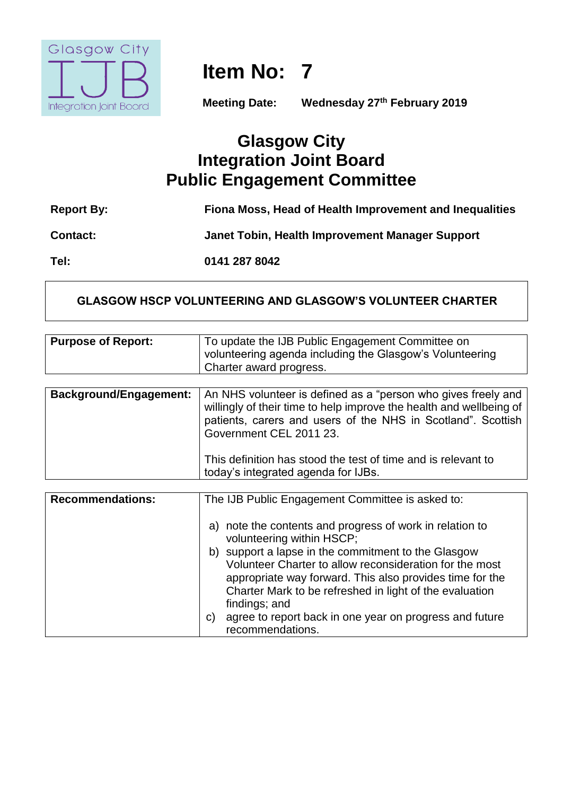

**Item No: 7**

**Meeting Date: Wednesday 27th February 2019**

# **Glasgow City Integration Joint Board Public Engagement Committee**

| <b>Report By:</b> | Fiona Moss, Head of Health Improvement and Inequalities |
|-------------------|---------------------------------------------------------|
| <b>Contact:</b>   | Janet Tobin, Health Improvement Manager Support         |
| Tel:              | 0141 287 8042                                           |

## **GLASGOW HSCP VOLUNTEERING AND GLASGOW'S VOLUNTEER CHARTER**

| <b>Purpose of Report:</b>     | To update the IJB Public Engagement Committee on<br>volunteering agenda including the Glasgow's Volunteering<br>Charter award progress.                                                                                                                |
|-------------------------------|--------------------------------------------------------------------------------------------------------------------------------------------------------------------------------------------------------------------------------------------------------|
|                               |                                                                                                                                                                                                                                                        |
| <b>Background/Engagement:</b> | An NHS volunteer is defined as a "person who gives freely and<br>willingly of their time to help improve the health and wellbeing of<br>patients, carers and users of the NHS in Scotland". Scottish<br>Government CEL 2011 23.                        |
|                               | This definition has stood the test of time and is relevant to<br>today's integrated agenda for IJBs.                                                                                                                                                   |
|                               |                                                                                                                                                                                                                                                        |
| <b>Recommendations:</b>       | The IJB Public Engagement Committee is asked to:                                                                                                                                                                                                       |
|                               | a) note the contents and progress of work in relation to<br>volunteering within HSCP;                                                                                                                                                                  |
|                               | b) support a lapse in the commitment to the Glasgow<br>Volunteer Charter to allow reconsideration for the most<br>appropriate way forward. This also provides time for the<br>Charter Mark to be refreshed in light of the evaluation<br>findings; and |
|                               | agree to report back in one year on progress and future<br>C)<br>recommendations.                                                                                                                                                                      |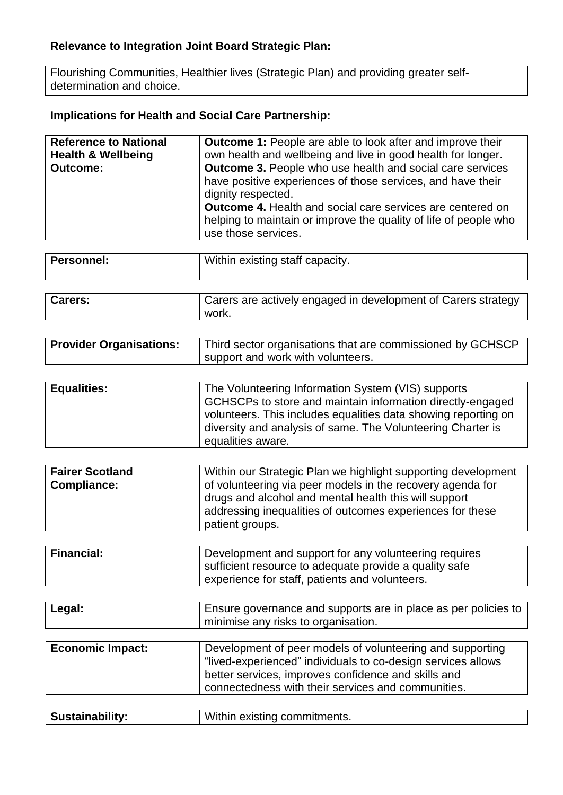# **Relevance to Integration Joint Board Strategic Plan:**

Flourishing Communities, Healthier lives (Strategic Plan) and providing greater selfdetermination and choice.

# **Implications for Health and Social Care Partnership:**

| <b>Reference to National</b>  | <b>Outcome 1:</b> People are able to look after and improve their                                                                                                                                                                                                                                                     |
|-------------------------------|-----------------------------------------------------------------------------------------------------------------------------------------------------------------------------------------------------------------------------------------------------------------------------------------------------------------------|
| <b>Health &amp; Wellbeing</b> | own health and wellbeing and live in good health for longer.                                                                                                                                                                                                                                                          |
| <b>Outcome:</b>               | <b>Outcome 3.</b> People who use health and social care services<br>have positive experiences of those services, and have their<br>dignity respected.<br><b>Outcome 4.</b> Health and social care services are centered on<br>helping to maintain or improve the quality of life of people who<br>use those services. |

| Personnel:    | Within existing staff capacity. |               |  |
|---------------|---------------------------------|---------------|--|
|               |                                 |               |  |
| $\rightarrow$ |                                 | $\sim$ $\sim$ |  |

| <b>Carers:</b> | Carers are actively engaged in development of Carers strategy<br>work. |
|----------------|------------------------------------------------------------------------|
|                |                                                                        |

| <b>Provider Organisations:</b> | Third sector organisations that are commissioned by GCHSCP |
|--------------------------------|------------------------------------------------------------|
|                                | I support and work with volunteers.                        |

| <b>Equalities:</b> | The Volunteering Information System (VIS) supports             |
|--------------------|----------------------------------------------------------------|
|                    | GCHSCPs to store and maintain information directly-engaged     |
|                    | volunteers. This includes equalities data showing reporting on |
|                    | diversity and analysis of same. The Volunteering Charter is    |
|                    | equalities aware.                                              |

| <b>Fairer Scotland</b><br><b>Compliance:</b> | Within our Strategic Plan we highlight supporting development<br>of volunteering via peer models in the recovery agenda for<br>drugs and alcohol and mental health this will support<br>addressing inequalities of outcomes experiences for these<br>patient groups. |
|----------------------------------------------|----------------------------------------------------------------------------------------------------------------------------------------------------------------------------------------------------------------------------------------------------------------------|
|----------------------------------------------|----------------------------------------------------------------------------------------------------------------------------------------------------------------------------------------------------------------------------------------------------------------------|

| <b>Financial:</b> | Development and support for any volunteering requires  |
|-------------------|--------------------------------------------------------|
|                   | sufficient resource to adequate provide a quality safe |
|                   | experience for staff, patients and volunteers.         |

| Legal: | Ensure governance and supports are in place as per policies to |
|--------|----------------------------------------------------------------|
|        | I minimise any risks to organisation.                          |

| <b>Economic Impact:</b> | Development of peer models of volunteering and supporting    |
|-------------------------|--------------------------------------------------------------|
|                         | "lived-experienced" individuals to co-design services allows |
|                         | better services, improves confidence and skills and          |
|                         | connectedness with their services and communities.           |
|                         |                                                              |

| <b>Sustainability:</b> | Within existing commitments. |
|------------------------|------------------------------|
|------------------------|------------------------------|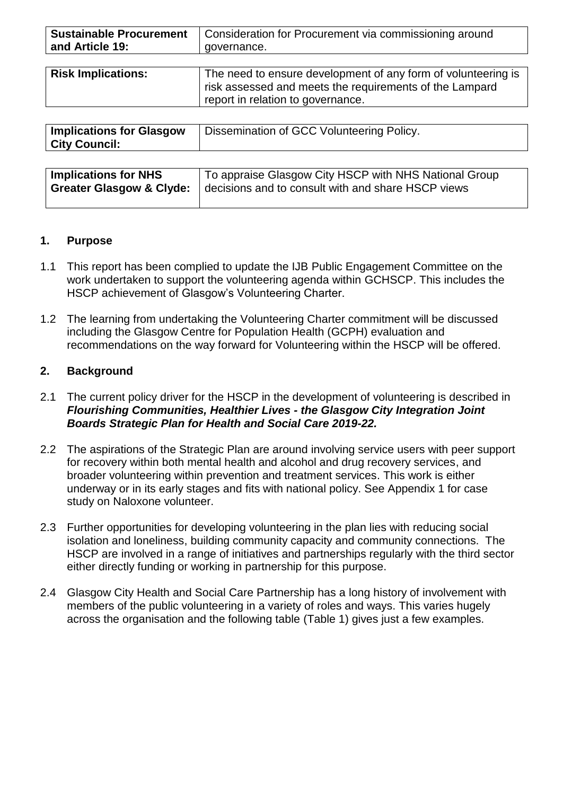| <b>Sustainable Procurement</b> | Consideration for Procurement via commissioning around |
|--------------------------------|--------------------------------------------------------|
| and Article 19:                | governance.                                            |

| <b>Risk Implications:</b> | The need to ensure development of any form of volunteering is |  |
|---------------------------|---------------------------------------------------------------|--|
|                           | risk assessed and meets the requirements of the Lampard       |  |
|                           | report in relation to governance.                             |  |

| <b>Implications for Glasgow</b> | Dissemination of GCC Volunteering Policy. |
|---------------------------------|-------------------------------------------|
| <b>City Council:</b>            |                                           |

| <b>Implications for NHS</b> | To appraise Glasgow City HSCP with NHS National Group |
|-----------------------------|-------------------------------------------------------|
| Greater Glasgow & Clyde:    | decisions and to consult with and share HSCP views    |
|                             |                                                       |

#### **1. Purpose**

- 1.1 This report has been complied to update the IJB Public Engagement Committee on the work undertaken to support the volunteering agenda within GCHSCP. This includes the HSCP achievement of Glasgow's Volunteering Charter.
- 1.2 The learning from undertaking the Volunteering Charter commitment will be discussed including the Glasgow Centre for Population Health (GCPH) evaluation and recommendations on the way forward for Volunteering within the HSCP will be offered.

### **2. Background**

- 2.1 The current policy driver for the HSCP in the development of volunteering is described in *Flourishing Communities, Healthier Lives - the Glasgow City Integration Joint Boards Strategic Plan for Health and Social Care 2019-22.*
- 2.2 The aspirations of the Strategic Plan are around involving service users with peer support for recovery within both mental health and alcohol and drug recovery services, and broader volunteering within prevention and treatment services. This work is either underway or in its early stages and fits with national policy. See Appendix 1 for case study on Naloxone volunteer.
- 2.3 Further opportunities for developing volunteering in the plan lies with reducing social isolation and loneliness, building community capacity and community connections. The HSCP are involved in a range of initiatives and partnerships regularly with the third sector either directly funding or working in partnership for this purpose.
- 2.4 Glasgow City Health and Social Care Partnership has a long history of involvement with members of the public volunteering in a variety of roles and ways. This varies hugely across the organisation and the following table (Table 1) gives just a few examples.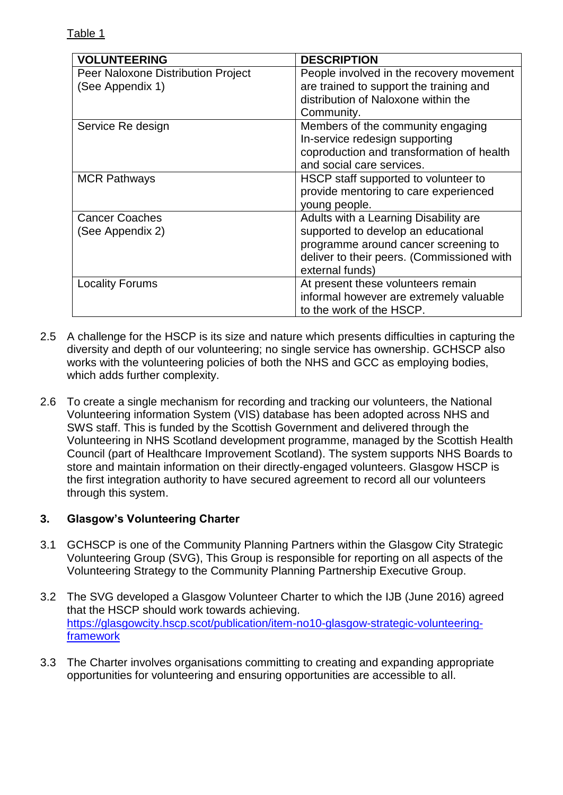| <b>VOLUNTEERING</b>                                    | <b>DESCRIPTION</b>                                                                                                                                                                    |
|--------------------------------------------------------|---------------------------------------------------------------------------------------------------------------------------------------------------------------------------------------|
| Peer Naloxone Distribution Project<br>(See Appendix 1) | People involved in the recovery movement<br>are trained to support the training and<br>distribution of Naloxone within the<br>Community.                                              |
| Service Re design                                      | Members of the community engaging<br>In-service redesign supporting<br>coproduction and transformation of health<br>and social care services.                                         |
| <b>MCR Pathways</b>                                    | HSCP staff supported to volunteer to<br>provide mentoring to care experienced<br>young people.                                                                                        |
| <b>Cancer Coaches</b><br>(See Appendix 2)              | Adults with a Learning Disability are<br>supported to develop an educational<br>programme around cancer screening to<br>deliver to their peers. (Commissioned with<br>external funds) |
| <b>Locality Forums</b>                                 | At present these volunteers remain<br>informal however are extremely valuable<br>to the work of the HSCP.                                                                             |

- 2.5 A challenge for the HSCP is its size and nature which presents difficulties in capturing the diversity and depth of our volunteering; no single service has ownership. GCHSCP also works with the volunteering policies of both the NHS and GCC as employing bodies, which adds further complexity.
- 2.6 To create a single mechanism for recording and tracking our volunteers, the National Volunteering information System (VIS) database has been adopted across NHS and SWS staff. This is funded by the Scottish Government and delivered through the Volunteering in NHS Scotland development programme, managed by the Scottish Health Council (part of Healthcare Improvement Scotland). The system supports NHS Boards to store and maintain information on their directly-engaged volunteers. Glasgow HSCP is the first integration authority to have secured agreement to record all our volunteers through this system.

## **3. Glasgow's Volunteering Charter**

- 3.1 GCHSCP is one of the Community Planning Partners within the Glasgow City Strategic Volunteering Group (SVG), This Group is responsible for reporting on all aspects of the Volunteering Strategy to the Community Planning Partnership Executive Group.
- 3.2 The SVG developed a Glasgow Volunteer Charter to which the IJB (June 2016) agreed that the HSCP should work towards achieving. [https://glasgowcity.hscp.scot/publication/item-no10-glasgow-strategic-volunteering](https://glasgowcity.hscp.scot/publication/item-no10-glasgow-strategic-volunteering-framework)[framework](https://glasgowcity.hscp.scot/publication/item-no10-glasgow-strategic-volunteering-framework)
- 3.3 The Charter involves organisations committing to creating and expanding appropriate opportunities for volunteering and ensuring opportunities are accessible to all.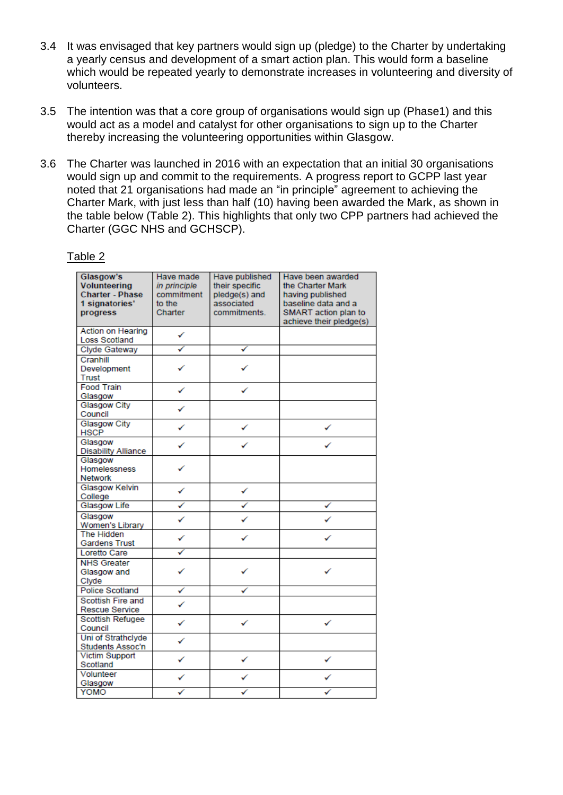- 3.4 It was envisaged that key partners would sign up (pledge) to the Charter by undertaking a yearly census and development of a smart action plan. This would form a baseline which would be repeated yearly to demonstrate increases in volunteering and diversity of volunteers.
- 3.5 The intention was that a core group of organisations would sign up (Phase1) and this would act as a model and catalyst for other organisations to sign up to the Charter thereby increasing the volunteering opportunities within Glasgow.
- 3.6 The Charter was launched in 2016 with an expectation that an initial 30 organisations would sign up and commit to the requirements. A progress report to GCPP last year noted that 21 organisations had made an "in principle" agreement to achieving the Charter Mark, with just less than half (10) having been awarded the Mark, as shown in the table below (Table 2). This highlights that only two CPP partners had achieved the Charter (GGC NHS and GCHSCP).

#### Table 2

| Glasgow's<br><b>Volunteering</b><br><b>Charter - Phase</b><br>1 signatories'<br>progress | Have made<br>in principle<br>commitment<br>to the<br>Charter | Have published<br>their specific<br>pledge(s) and<br>associated<br>commitments. | Have been awarded<br>the Charter Mark<br>having published<br>baseline data and a<br>SMART action plan to<br>achieve their pledge(s) |
|------------------------------------------------------------------------------------------|--------------------------------------------------------------|---------------------------------------------------------------------------------|-------------------------------------------------------------------------------------------------------------------------------------|
| <b>Action on Hearing</b><br><b>Loss Scotland</b>                                         | ✓                                                            |                                                                                 |                                                                                                                                     |
| <b>Clyde Gateway</b>                                                                     | ✓                                                            | ✓                                                                               |                                                                                                                                     |
| Cranhill<br>Development<br>Trust                                                         |                                                              |                                                                                 |                                                                                                                                     |
| <b>Food Train</b><br>Glasgow                                                             | ✓                                                            |                                                                                 |                                                                                                                                     |
| <b>Glasgow City</b><br>Council                                                           |                                                              |                                                                                 |                                                                                                                                     |
| <b>Glasgow City</b><br><b>HSCP</b>                                                       | ✓                                                            | ✓                                                                               | ✓                                                                                                                                   |
| Glasgow<br><b>Disability Alliance</b>                                                    | ✓                                                            | ✓                                                                               |                                                                                                                                     |
| Glasgow<br>Homelessness<br><b>Network</b>                                                | ✓                                                            |                                                                                 |                                                                                                                                     |
| Glasgow Kelvin<br>College                                                                | ✓                                                            | ✓                                                                               |                                                                                                                                     |
| Glasgow Life                                                                             | ✓                                                            | ✓                                                                               | ✓                                                                                                                                   |
| Glasgow<br>Women's Library                                                               | ✓                                                            |                                                                                 |                                                                                                                                     |
| <b>The Hidden</b><br><b>Gardens Trust</b>                                                | ✓                                                            | ✓                                                                               |                                                                                                                                     |
| <b>Loretto Care</b>                                                                      |                                                              |                                                                                 |                                                                                                                                     |
| <b>NHS Greater</b><br>Glasgow and<br>Clyde                                               |                                                              |                                                                                 |                                                                                                                                     |
| <b>Police Scotland</b>                                                                   | ✓                                                            |                                                                                 |                                                                                                                                     |
| <b>Scottish Fire and</b><br>Rescue Service                                               | ✓                                                            |                                                                                 |                                                                                                                                     |
| <b>Scottish Refugee</b><br>Council                                                       | ✓                                                            | ✓                                                                               | ✓                                                                                                                                   |
| Uni of Strathclyde<br>Students Assoc'n                                                   | ✓                                                            |                                                                                 |                                                                                                                                     |
| <b>Victim Support</b><br>Scotland                                                        | ✓                                                            | ✓                                                                               | ✓                                                                                                                                   |
| Volunteer<br>Glasgow                                                                     |                                                              |                                                                                 |                                                                                                                                     |
| YOMO                                                                                     |                                                              |                                                                                 |                                                                                                                                     |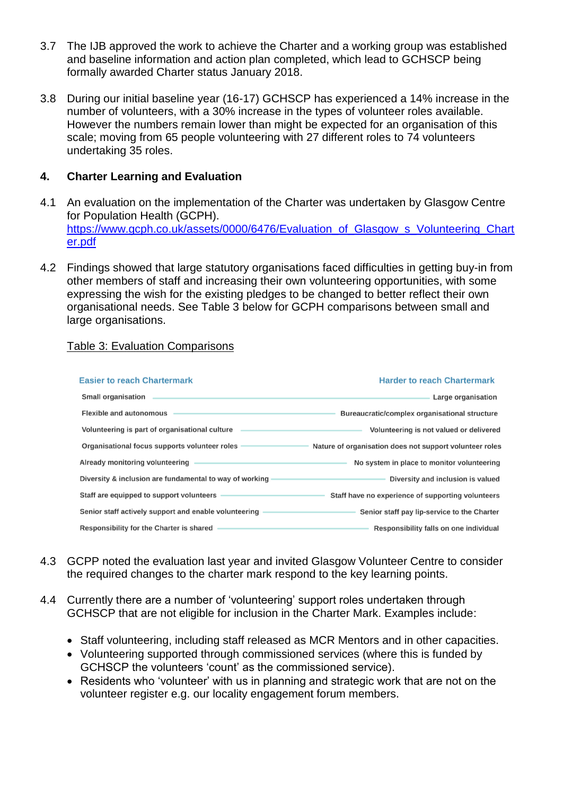- 3.7 The IJB approved the work to achieve the Charter and a working group was established and baseline information and action plan completed, which lead to GCHSCP being formally awarded Charter status January 2018.
- 3.8 During our initial baseline year (16-17) GCHSCP has experienced a 14% increase in the number of volunteers, with a 30% increase in the types of volunteer roles available. However the numbers remain lower than might be expected for an organisation of this scale; moving from 65 people volunteering with 27 different roles to 74 volunteers undertaking 35 roles.

#### **4. Charter Learning and Evaluation**

- 4.1 An evaluation on the implementation of the Charter was undertaken by Glasgow Centre for Population Health (GCPH). [https://www.gcph.co.uk/assets/0000/6476/Evaluation\\_of\\_Glasgow\\_s\\_Volunteering\\_Chart](https://www.gcph.co.uk/assets/0000/6476/Evaluation_of_Glasgow_s_Volunteering_Charter.pdf) [er.pdf](https://www.gcph.co.uk/assets/0000/6476/Evaluation_of_Glasgow_s_Volunteering_Charter.pdf)
- 4.2 Findings showed that large statutory organisations faced difficulties in getting buy-in from other members of staff and increasing their own volunteering opportunities, with some expressing the wish for the existing pledges to be changed to better reflect their own organisational needs. See Table 3 below for GCPH comparisons between small and large organisations.

#### Table 3: Evaluation Comparisons

| <b>Easier to reach Chartermark</b>                      | <b>Harder to reach Chartermark</b>                      |
|---------------------------------------------------------|---------------------------------------------------------|
| Small organisation                                      | Large organisation                                      |
| <b>Flexible and autonomous</b>                          | Bureaucratic/complex organisational structure           |
| Volunteering is part of organisational culture          | Volunteering is not valued or delivered                 |
| Organisational focus supports volunteer roles           | Nature of organisation does not support volunteer roles |
| Already monitoring volunteering                         | No system in place to monitor volunteering              |
| Diversity & inclusion are fundamental to way of working | Diversity and inclusion is valued                       |
| Staff are equipped to support volunteers                | Staff have no experience of supporting volunteers       |
| Senior staff actively support and enable volunteering   | Senior staff pay lip-service to the Charter             |
| Responsibility for the Charter is shared                | Responsibility falls on one individual                  |

- 4.3 GCPP noted the evaluation last year and invited Glasgow Volunteer Centre to consider the required changes to the charter mark respond to the key learning points.
- 4.4 Currently there are a number of 'volunteering' support roles undertaken through GCHSCP that are not eligible for inclusion in the Charter Mark. Examples include:
	- Staff volunteering, including staff released as MCR Mentors and in other capacities.
	- Volunteering supported through commissioned services (where this is funded by GCHSCP the volunteers 'count' as the commissioned service).
	- Residents who 'volunteer' with us in planning and strategic work that are not on the volunteer register e.g. our locality engagement forum members.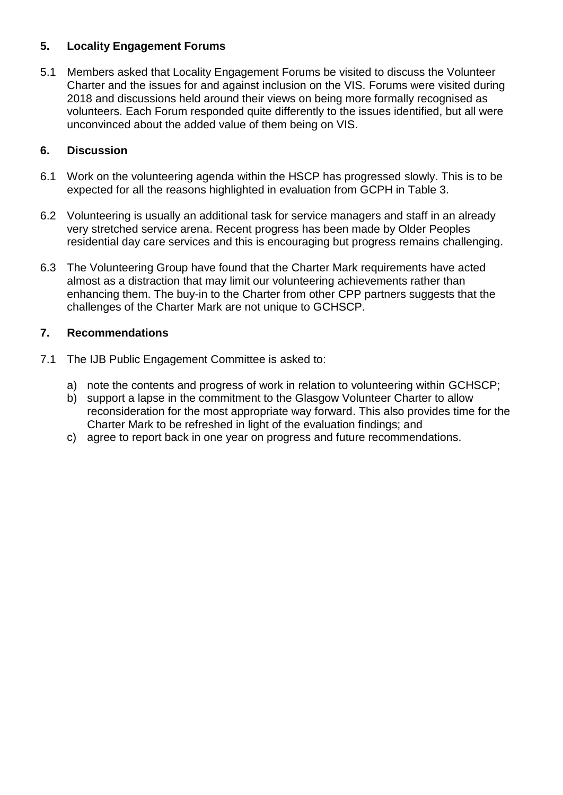## **5. Locality Engagement Forums**

5.1 Members asked that Locality Engagement Forums be visited to discuss the Volunteer Charter and the issues for and against inclusion on the VIS. Forums were visited during 2018 and discussions held around their views on being more formally recognised as volunteers. Each Forum responded quite differently to the issues identified, but all were unconvinced about the added value of them being on VIS.

## **6. Discussion**

- 6.1 Work on the volunteering agenda within the HSCP has progressed slowly. This is to be expected for all the reasons highlighted in evaluation from GCPH in Table 3.
- 6.2 Volunteering is usually an additional task for service managers and staff in an already very stretched service arena. Recent progress has been made by Older Peoples residential day care services and this is encouraging but progress remains challenging.
- 6.3 The Volunteering Group have found that the Charter Mark requirements have acted almost as a distraction that may limit our volunteering achievements rather than enhancing them. The buy-in to the Charter from other CPP partners suggests that the challenges of the Charter Mark are not unique to GCHSCP.

### **7. Recommendations**

- 7.1 The IJB Public Engagement Committee is asked to:
	- a) note the contents and progress of work in relation to volunteering within GCHSCP;
	- b) support a lapse in the commitment to the Glasgow Volunteer Charter to allow reconsideration for the most appropriate way forward. This also provides time for the Charter Mark to be refreshed in light of the evaluation findings; and
	- c) agree to report back in one year on progress and future recommendations.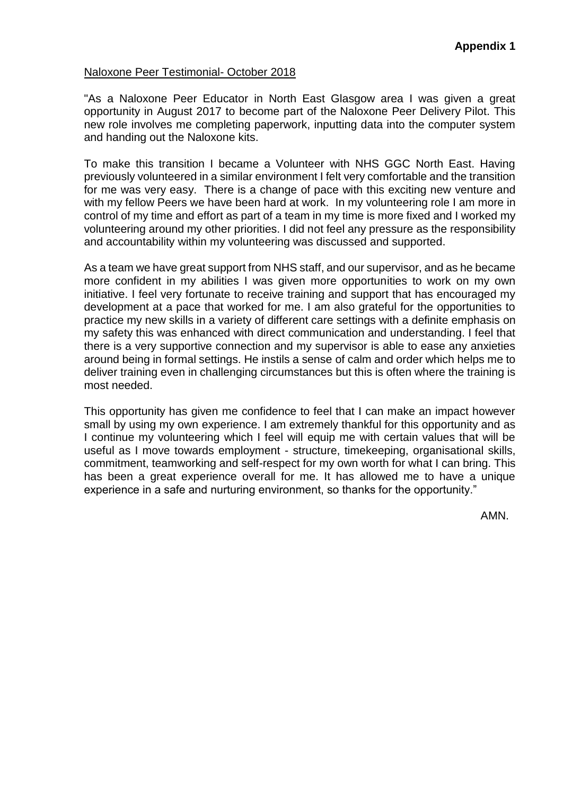#### Naloxone Peer Testimonial- October 2018

"As a Naloxone Peer Educator in North East Glasgow area I was given a great opportunity in August 2017 to become part of the Naloxone Peer Delivery Pilot. This new role involves me completing paperwork, inputting data into the computer system and handing out the Naloxone kits.

To make this transition I became a Volunteer with NHS GGC North East. Having previously volunteered in a similar environment I felt very comfortable and the transition for me was very easy. There is a change of pace with this exciting new venture and with my fellow Peers we have been hard at work. In my volunteering role I am more in control of my time and effort as part of a team in my time is more fixed and I worked my volunteering around my other priorities. I did not feel any pressure as the responsibility and accountability within my volunteering was discussed and supported.

As a team we have great support from NHS staff, and our supervisor, and as he became more confident in my abilities I was given more opportunities to work on my own initiative. I feel very fortunate to receive training and support that has encouraged my development at a pace that worked for me. I am also grateful for the opportunities to practice my new skills in a variety of different care settings with a definite emphasis on my safety this was enhanced with direct communication and understanding. I feel that there is a very supportive connection and my supervisor is able to ease any anxieties around being in formal settings. He instils a sense of calm and order which helps me to deliver training even in challenging circumstances but this is often where the training is most needed.

This opportunity has given me confidence to feel that I can make an impact however small by using my own experience. I am extremely thankful for this opportunity and as I continue my volunteering which I feel will equip me with certain values that will be useful as I move towards employment - structure, timekeeping, organisational skills, commitment, teamworking and self-respect for my own worth for what I can bring. This has been a great experience overall for me. It has allowed me to have a unique experience in a safe and nurturing environment, so thanks for the opportunity."

AMN.